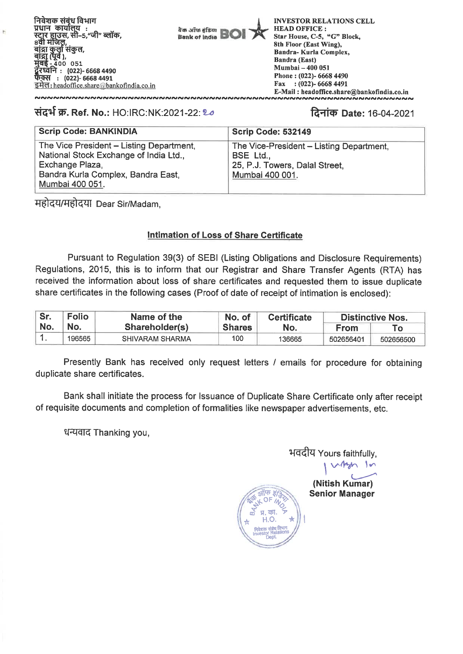.<br>स्टार हाउस, सी–5,"जी" ब्लॉक,<br><u>8</u>वी मंजिल, | संकुल,<br><sub>)</sub>,  $-400$  051 **MIgR : (022)- 6668 4490 : (022)- 6668 4491 640:** headoffice.share@bankofindia.co.in निवेशक संबंध विभाग प्रधान कार्यालय :

वैक ऑफ़ हंडिया<br>Bank of India

**INVESTOR RELATIONS CELL HEAD OFFICE : Star House, C-5, "G" Block, 8th Floor (East Wing), Bandra- Kurla Complex, Bandra (East) Mumbai — 400 051 Phone : (022)- 6668 4490 Fax : (022)- 6668 4491 E-Mail : headoffice.share@bankofindia.co.in** 

# **#444 W. Ref. No.:** HO:IRC:NK:2021-22: 2-0 **RIM) Date:** 16-04-2021

| <b>Scrip Code: BANKINDIA</b>                                                       | Scrip Code: 532149                                  |
|------------------------------------------------------------------------------------|-----------------------------------------------------|
| The Vice President - Listing Department,<br>National Stock Exchange of India Ltd., | The Vice-President - Listing Department,<br>BSE Ltd |
| Exchange Plaza,                                                                    | 25, P.J. Towers, Dalal Street,                      |
| Bandra Kurla Complex, Bandra East,<br>Mumbai 400 051.                              | Mumbai 400 001.                                     |

महोदय/महोदया Dear Sir/Madam,

# **Intimation of Loss of Share Certificate**

Pursuant to Regulation 39(3) of SEBI (Listing Obligations and Disclosure Requirements) Regulations, 2015, this is to inform that our Registrar and Share Transfer Agents (RTA) has received the information about loss of share certificates and requested them to issue duplicate share certificates in the following cases (Proof of date of receipt of intimation is enclosed):

| Sr. | <b>Folio</b> | Name of the            | No. of        | <b>Certificate</b> | <b>Distinctive Nos.</b> |           |
|-----|--------------|------------------------|---------------|--------------------|-------------------------|-----------|
| No. | 'No.         | Shareholder(s)         | <b>Shares</b> | No.                | <b>From</b>             |           |
|     | 196565       | <b>SHIVARAM SHARMA</b> | 100           | 136665             | 502656401               | 502656500 |

Presently Bank has received only request letters / emails for procedure for obtaining duplicate share certificates.

Bank shall initiate the process for Issuance of Duplicate Share Certificate only after receipt of requisite documents and completion of formalities like newspaper advertisements, etc.

**2004** OF

**m R. M. 7** 

, <sub>विशक</sub> संबंध विभाग<br>विश Investor Rotations **DePt•** 

धन्यवाद Thanking you,

भवदीय Yours faithfully,  $v_{\text{max}}$  10

**(Nitish Kumar) Senior Manager**  pg <sub>H</sub>, का. ァ<br>r H.O. ★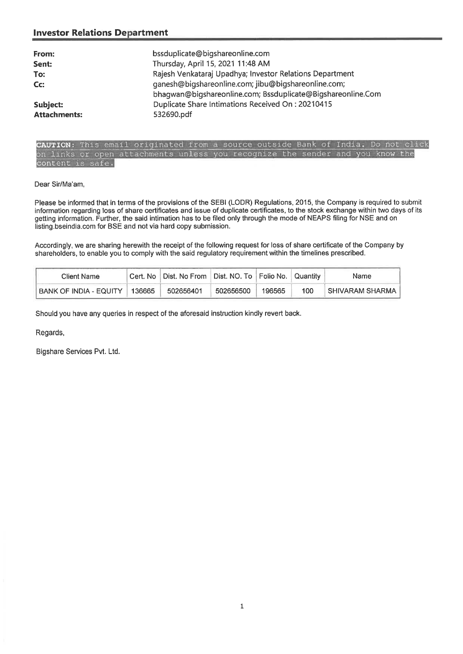## **Investor Relations Department**

| From:<br>Sent:      | bssduplicate@bigshareonline.com<br>Thursday, April 15, 2021 11:48 AM                                               |
|---------------------|--------------------------------------------------------------------------------------------------------------------|
| To:                 | Rajesh Venkataraj Upadhya; Investor Relations Department                                                           |
| Cc:                 | ganesh@bigshareonline.com; jibu@bigshareonline.com;<br>bhagwan@bigshareonline.com; Bssduplicate@Bigshareonline.Com |
| Subject:            | Duplicate Share Intimations Received On: 20210415                                                                  |
| <b>Attachments:</b> | 532690.pdf                                                                                                         |

## **AUTION:** This email originated from a source outside Bank of India. Do not click on links or open attachments unless you recognize the sender and you know the content is safe.

### Dear Sir/Ma'am,

Please be informed that in terms of the provisions of the SEBI (LODR) Regulations, 2015, the Company is required to submit information regarding loss of share certificates and issue of duplicate certificates, to the stock exchange within two days of its getting information. Further, the said intimation has to be filed only through the mode of NEAPS filing for NSE and on listing.bseindia.com for BSE and not via hard copy submission.

Accordingly, we are sharing herewith the receipt of the following request for loss of share certificate of the Company by shareholders, to enable you to comply with the said regulatory requirement within the timelines prescribed.

| Client Name               |        | Cert. No   Dist. No From   Dist. NO. To   Folio No.   Quantity |           |        |     | Name                |
|---------------------------|--------|----------------------------------------------------------------|-----------|--------|-----|---------------------|
| `BANK OF INDIA - EQUITY . | 136665 | 502656401                                                      | 502656500 | 196565 | 100 | ∣ SHIVARAM SHARMA I |

Should you have any queries in respect of the aforesaid instruction kindly revert back.

Regards,

Bigshare Services Pvt. Ltd.